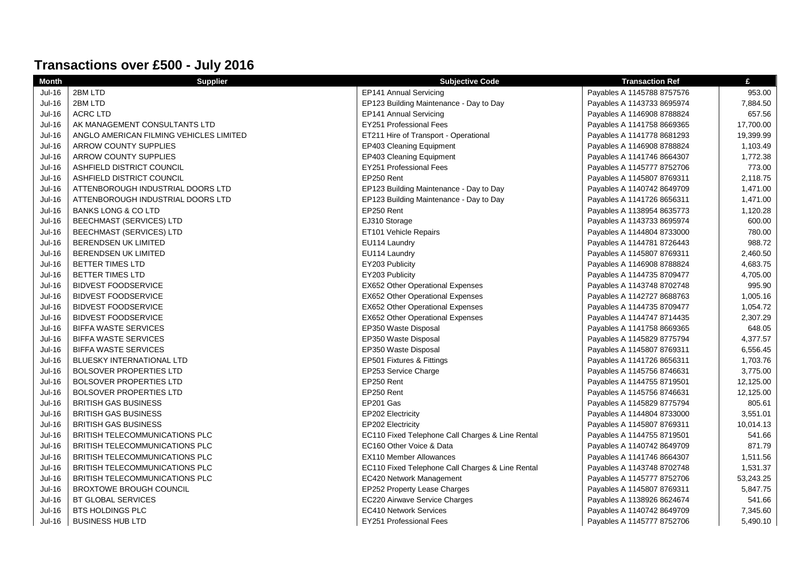| Transactions over £500 - July 2016 |                                         |                                                  |                            |           |
|------------------------------------|-----------------------------------------|--------------------------------------------------|----------------------------|-----------|
| <b>Month</b>                       | <b>Supplier</b>                         | <b>Subjective Code</b>                           | <b>Transaction Ref</b>     | £         |
| Jul-16                             | 2BM LTD                                 | EP141 Annual Servicing                           | Payables A 1145788 8757576 | 953.00    |
| <b>Jul-16</b>                      | 2BM LTD                                 | EP123 Building Maintenance - Day to Day          | Payables A 1143733 8695974 | 7,884.50  |
| $Jul-16$                           | <b>ACRC LTD</b>                         | EP141 Annual Servicing                           | Payables A 1146908 8788824 | 657.56    |
| Jul-16                             | AK MANAGEMENT CONSULTANTS LTD           | EY251 Professional Fees                          | Payables A 1141758 8669365 | 17,700.00 |
| <b>Jul-16</b>                      | ANGLO AMERICAN FILMING VEHICLES LIMITED | ET211 Hire of Transport - Operational            | Payables A 1141778 8681293 | 19,399.99 |
| <b>Jul-16</b>                      | <b>ARROW COUNTY SUPPLIES</b>            | <b>EP403 Cleaning Equipment</b>                  | Payables A 1146908 8788824 | 1,103.49  |
| <b>Jul-16</b>                      | <b>ARROW COUNTY SUPPLIES</b>            | EP403 Cleaning Equipment                         | Payables A 1141746 8664307 | 1,772.38  |
| <b>Jul-16</b>                      | ASHFIELD DISTRICT COUNCIL               | <b>EY251 Professional Fees</b>                   | Payables A 1145777 8752706 | 773.00    |
| <b>Jul-16</b>                      | ASHFIELD DISTRICT COUNCIL               | EP250 Rent                                       | Payables A 1145807 8769311 | 2,118.75  |
| <b>Jul-16</b>                      | ATTENBOROUGH INDUSTRIAL DOORS LTD       | EP123 Building Maintenance - Day to Day          | Payables A 1140742 8649709 | 1,471.00  |
| <b>Jul-16</b>                      | ATTENBOROUGH INDUSTRIAL DOORS LTD       | EP123 Building Maintenance - Day to Day          | Payables A 1141726 8656311 | 1,471.00  |
| <b>Jul-16</b>                      | <b>BANKS LONG &amp; CO LTD</b>          | EP250 Rent                                       | Payables A 1138954 8635773 | 1,120.28  |
| <b>Jul-16</b>                      | BEECHMAST (SERVICES) LTD                | EJ310 Storage                                    | Payables A 1143733 8695974 | 600.00    |
| <b>Jul-16</b>                      | BEECHMAST (SERVICES) LTD                | ET101 Vehicle Repairs                            | Payables A 1144804 8733000 | 780.00    |
| Jul-16                             | BERENDSEN UK LIMITED                    | EU114 Laundry                                    | Payables A 1144781 8726443 | 988.72    |
| <b>Jul-16</b>                      | <b>BERENDSEN UK LIMITED</b>             | EU114 Laundry                                    | Payables A 1145807 8769311 | 2,460.50  |
| <b>Jul-16</b>                      | <b>BETTER TIMES LTD</b>                 | EY203 Publicity                                  | Payables A 1146908 8788824 | 4,683.75  |
| Jul-16                             | BETTER TIMES LTD                        | EY203 Publicity                                  | Payables A 1144735 8709477 | 4,705.00  |
| <b>Jul-16</b>                      | <b>BIDVEST FOODSERVICE</b>              | <b>EX652 Other Operational Expenses</b>          | Payables A 1143748 8702748 | 995.90    |
| <b>Jul-16</b>                      | <b>BIDVEST FOODSERVICE</b>              | <b>EX652 Other Operational Expenses</b>          | Payables A 1142727 8688763 | 1,005.16  |
| Jul-16                             | <b>BIDVEST FOODSERVICE</b>              | <b>EX652 Other Operational Expenses</b>          | Payables A 1144735 8709477 | 1,054.72  |
| $Jul-16$                           | <b>BIDVEST FOODSERVICE</b>              | EX652 Other Operational Expenses                 | Payables A 1144747 8714435 | 2,307.29  |
| Jul-16                             | <b>BIFFA WASTE SERVICES</b>             | EP350 Waste Disposal                             | Payables A 1141758 8669365 | 648.05    |
| <b>Jul-16</b>                      | <b>BIFFA WASTE SERVICES</b>             | EP350 Waste Disposal                             | Payables A 1145829 8775794 | 4,377.57  |
| Jul-16                             | <b>BIFFA WASTE SERVICES</b>             | EP350 Waste Disposal                             | Payables A 1145807 8769311 | 6,556.45  |
| <b>Jul-16</b>                      | BLUESKY INTERNATIONAL LTD               | EP501 Fixtures & Fittings                        | Payables A 1141726 8656311 | 1,703.76  |
| <b>Jul-16</b>                      | <b>BOLSOVER PROPERTIES LTD</b>          | EP253 Service Charge                             | Payables A 1145756 8746631 | 3,775.00  |
| $Jul-16$                           | <b>BOLSOVER PROPERTIES LTD</b>          | EP250 Rent                                       | Payables A 1144755 8719501 | 12,125.00 |
| $Jul-16$                           | <b>BOLSOVER PROPERTIES LTD</b>          | EP250 Rent                                       | Payables A 1145756 8746631 | 12,125.00 |
| <b>Jul-16</b>                      | <b>BRITISH GAS BUSINESS</b>             | EP201 Gas                                        | Payables A 1145829 8775794 | 805.61    |
| <b>Jul-16</b>                      | <b>BRITISH GAS BUSINESS</b>             | EP202 Electricity                                | Payables A 1144804 8733000 | 3,551.01  |
| Jul-16                             | <b>BRITISH GAS BUSINESS</b>             | EP202 Electricity                                | Payables A 1145807 8769311 | 10,014.13 |
| $Jul-16$                           | BRITISH TELECOMMUNICATIONS PLC          | EC110 Fixed Telephone Call Charges & Line Rental | Payables A 1144755 8719501 | 541.66    |
| Jul-16                             | BRITISH TELECOMMUNICATIONS PLC          | EC160 Other Voice & Data                         | Payables A 1140742 8649709 | 871.79    |
| $Jul-16$                           | BRITISH TELECOMMUNICATIONS PLC          | <b>EX110 Member Allowances</b>                   | Payables A 1141746 8664307 | 1,511.56  |
| <b>Jul-16</b>                      | BRITISH TELECOMMUNICATIONS PLC          | EC110 Fixed Telephone Call Charges & Line Rental | Payables A 1143748 8702748 | 1,531.37  |
| <b>Jul-16</b>                      | BRITISH TELECOMMUNICATIONS PLC          | EC420 Network Management                         | Payables A 1145777 8752706 | 53,243.25 |
| $Jul-16$                           | <b>BROXTOWE BROUGH COUNCIL</b>          | EP252 Property Lease Charges                     | Payables A 1145807 8769311 | 5,847.75  |
| Jul-16                             | BT GLOBAL SERVICES                      | EC220 Airwave Service Charges                    | Payables A 1138926 8624674 | 541.66    |
| <b>Jul-16</b>                      | <b>BTS HOLDINGS PLC</b>                 | <b>EC410 Network Services</b>                    | Payables A 1140742 8649709 | 7,345.60  |
| Jul-16                             | <b>BUSINESS HUB LTD</b>                 | <b>EY251 Professional Fees</b>                   | Payables A 1145777 8752706 | 5,490.10  |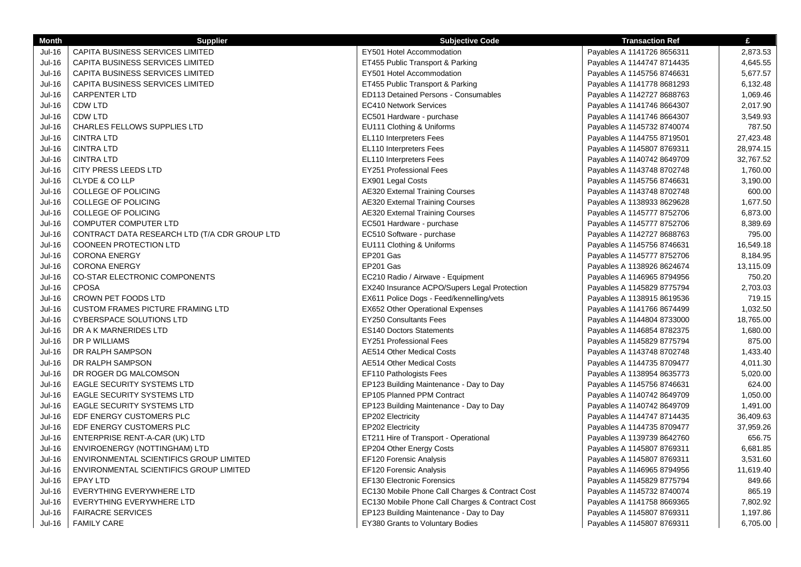| <b>Month</b>  | <b>Supplier</b>                               | <b>Subjective Code</b>                          | <b>Transaction Ref</b>     | £         |
|---------------|-----------------------------------------------|-------------------------------------------------|----------------------------|-----------|
| Jul-16        | CAPITA BUSINESS SERVICES LIMITED              | EY501 Hotel Accommodation                       | Payables A 1141726 8656311 | 2,873.53  |
| <b>Jul-16</b> | CAPITA BUSINESS SERVICES LIMITED              | ET455 Public Transport & Parking                | Payables A 1144747 8714435 | 4,645.55  |
| <b>Jul-16</b> | CAPITA BUSINESS SERVICES LIMITED              | EY501 Hotel Accommodation                       | Payables A 1145756 8746631 | 5,677.57  |
| <b>Jul-16</b> | CAPITA BUSINESS SERVICES LIMITED              | ET455 Public Transport & Parking                | Payables A 1141778 8681293 | 6,132.48  |
| <b>Jul-16</b> | <b>CARPENTER LTD</b>                          | <b>ED113 Detained Persons - Consumables</b>     | Payables A 1142727 8688763 | 1,069.46  |
| <b>Jul-16</b> | CDW LTD                                       | <b>EC410 Network Services</b>                   | Payables A 1141746 8664307 | 2,017.90  |
| <b>Jul-16</b> | CDW LTD                                       | EC501 Hardware - purchase                       | Payables A 1141746 8664307 | 3,549.93  |
| <b>Jul-16</b> | <b>CHARLES FELLOWS SUPPLIES LTD</b>           | EU111 Clothing & Uniforms                       | Payables A 1145732 8740074 | 787.50    |
| $Jul-16$      | <b>CINTRA LTD</b>                             | EL110 Interpreters Fees                         | Payables A 1144755 8719501 | 27,423.48 |
| <b>Jul-16</b> | <b>CINTRA LTD</b>                             | EL110 Interpreters Fees                         | Payables A 1145807 8769311 | 28,974.15 |
| <b>Jul-16</b> | <b>CINTRA LTD</b>                             | EL110 Interpreters Fees                         | Payables A 1140742 8649709 | 32,767.52 |
| <b>Jul-16</b> | <b>CITY PRESS LEEDS LTD</b>                   | <b>EY251 Professional Fees</b>                  | Payables A 1143748 8702748 | 1,760.00  |
| <b>Jul-16</b> | CLYDE & CO LLP                                | EX901 Legal Costs                               | Payables A 1145756 8746631 | 3,190.00  |
| <b>Jul-16</b> | <b>COLLEGE OF POLICING</b>                    | <b>AE320 External Training Courses</b>          | Payables A 1143748 8702748 | 600.00    |
| Jul-16        | COLLEGE OF POLICING                           | <b>AE320 External Training Courses</b>          | Payables A 1138933 8629628 | 1,677.50  |
| Jul-16        | COLLEGE OF POLICING                           | <b>AE320 External Training Courses</b>          | Payables A 1145777 8752706 | 6,873.00  |
| $Jul-16$      | <b>COMPUTER COMPUTER LTD</b>                  | EC501 Hardware - purchase                       | Payables A 1145777 8752706 | 8,389.69  |
| Jul-16        | CONTRACT DATA RESEARCH LTD (T/A CDR GROUP LTD | EC510 Software - purchase                       | Payables A 1142727 8688763 | 795.00    |
| <b>Jul-16</b> | COONEEN PROTECTION LTD                        | EU111 Clothing & Uniforms                       | Payables A 1145756 8746631 | 16,549.18 |
| <b>Jul-16</b> | <b>CORONA ENERGY</b>                          | EP201 Gas                                       | Payables A 1145777 8752706 | 8,184.95  |
| <b>Jul-16</b> | <b>CORONA ENERGY</b>                          | EP201 Gas                                       | Payables A 1138926 8624674 | 13,115.09 |
| <b>Jul-16</b> | <b>CO-STAR ELECTRONIC COMPONENTS</b>          | EC210 Radio / Airwave - Equipment               | Payables A 1146965 8794956 | 750.20    |
| Jul-16        | <b>CPOSA</b>                                  | EX240 Insurance ACPO/Supers Legal Protection    | Payables A 1145829 8775794 | 2,703.03  |
| $Jul-16$      | CROWN PET FOODS LTD                           | EX611 Police Dogs - Feed/kennelling/vets        | Payables A 1138915 8619536 | 719.15    |
| Jul-16        | <b>CUSTOM FRAMES PICTURE FRAMING LTD</b>      | EX652 Other Operational Expenses                | Payables A 1141766 8674499 | 1,032.50  |
| <b>Jul-16</b> | CYBERSPACE SOLUTIONS LTD                      | <b>EY250 Consultants Fees</b>                   | Payables A 1144804 8733000 | 18,765.00 |
| $Jul-16$      | DR A K MARNERIDES LTD                         | <b>ES140 Doctors Statements</b>                 | Payables A 1146854 8782375 | 1,680.00  |
| <b>Jul-16</b> | DR P WILLIAMS                                 | <b>EY251 Professional Fees</b>                  | Payables A 1145829 8775794 | 875.00    |
| <b>Jul-16</b> | DR RALPH SAMPSON                              | AE514 Other Medical Costs                       | Payables A 1143748 8702748 | 1,433.40  |
| <b>Jul-16</b> | DR RALPH SAMPSON                              | <b>AE514 Other Medical Costs</b>                | Payables A 1144735 8709477 | 4,011.30  |
| <b>Jul-16</b> | DR ROGER DG MALCOMSON                         | EF110 Pathologists Fees                         | Payables A 1138954 8635773 | 5,020.00  |
| $Jul-16$      | <b>EAGLE SECURITY SYSTEMS LTD</b>             | EP123 Building Maintenance - Day to Day         | Payables A 1145756 8746631 | 624.00    |
| Jul-16        | EAGLE SECURITY SYSTEMS LTD                    | EP105 Planned PPM Contract                      | Payables A 1140742 8649709 | 1,050.00  |
| $Jul-16$      | <b>EAGLE SECURITY SYSTEMS LTD</b>             | EP123 Building Maintenance - Day to Day         | Payables A 1140742 8649709 | 1,491.00  |
| Jul-16        | EDF ENERGY CUSTOMERS PLC                      | EP202 Electricity                               | Payables A 1144747 8714435 | 36,409.63 |
| <b>Jul-16</b> | EDF ENERGY CUSTOMERS PLC                      | EP202 Electricity                               | Payables A 1144735 8709477 | 37,959.26 |
| <b>Jul-16</b> | ENTERPRISE RENT-A-CAR (UK) LTD                | ET211 Hire of Transport - Operational           | Payables A 1139739 8642760 | 656.75    |
| <b>Jul-16</b> | ENVIROENERGY (NOTTINGHAM) LTD                 | EP204 Other Energy Costs                        | Payables A 1145807 8769311 | 6,681.85  |
| Jul-16        | ENVIRONMENTAL SCIENTIFICS GROUP LIMITED       | EF120 Forensic Analysis                         | Payables A 1145807 8769311 | 3,531.60  |
| Jul-16        | ENVIRONMENTAL SCIENTIFICS GROUP LIMITED       | EF120 Forensic Analysis                         | Payables A 1146965 8794956 | 11,619.40 |
| Jul-16        | EPAY LTD                                      | EF130 Electronic Forensics                      | Payables A 1145829 8775794 | 849.66    |
| Jul-16        | EVERYTHING EVERYWHERE LTD                     | EC130 Mobile Phone Call Charges & Contract Cost | Payables A 1145732 8740074 | 865.19    |
| <b>Jul-16</b> | EVERYTHING EVERYWHERE LTD                     | EC130 Mobile Phone Call Charges & Contract Cost | Payables A 1141758 8669365 | 7,802.92  |
| Jul-16        | <b>FAIRACRE SERVICES</b>                      | EP123 Building Maintenance - Day to Day         | Payables A 1145807 8769311 | 1,197.86  |
| Jul-16        | <b>FAMILY CARE</b>                            | <b>EY380 Grants to Voluntary Bodies</b>         | Payables A 1145807 8769311 | 6,705.00  |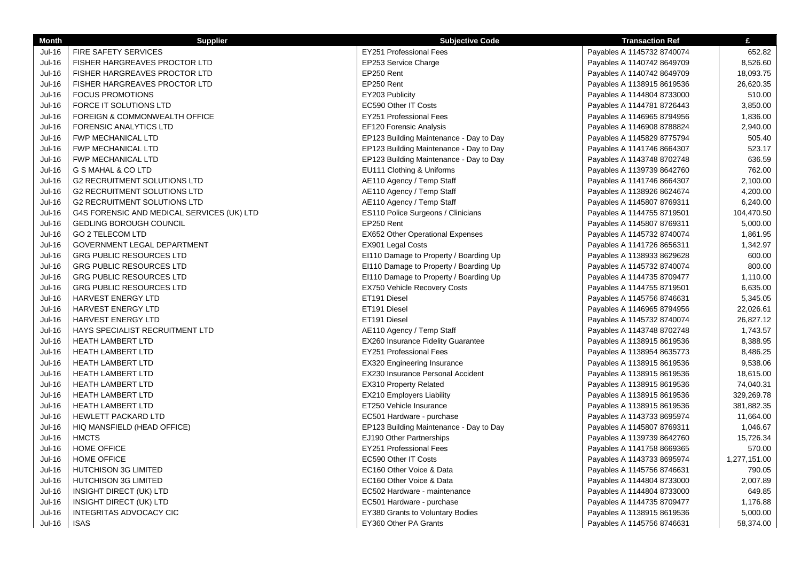| <b>Month</b>  | <b>Supplier</b>                            | <b>Subjective Code</b>                  | <b>Transaction Ref</b>     | £            |
|---------------|--------------------------------------------|-----------------------------------------|----------------------------|--------------|
| Jul-16        | <b>FIRE SAFETY SERVICES</b>                | <b>EY251 Professional Fees</b>          | Payables A 1145732 8740074 | 652.82       |
| Jul-16        | FISHER HARGREAVES PROCTOR LTD              | EP253 Service Charge                    | Payables A 1140742 8649709 | 8,526.60     |
| $Jul-16$      | <b>FISHER HARGREAVES PROCTOR LTD</b>       | EP250 Rent                              | Payables A 1140742 8649709 | 18,093.75    |
| <b>Jul-16</b> | <b>FISHER HARGREAVES PROCTOR LTD</b>       | EP250 Rent                              | Payables A 1138915 8619536 | 26,620.35    |
| <b>Jul-16</b> | <b>FOCUS PROMOTIONS</b>                    | EY203 Publicity                         | Payables A 1144804 8733000 | 510.00       |
| Jul-16        | FORCE IT SOLUTIONS LTD                     | EC590 Other IT Costs                    | Payables A 1144781 8726443 | 3,850.00     |
| <b>Jul-16</b> | FOREIGN & COMMONWEALTH OFFICE              | EY251 Professional Fees                 | Payables A 1146965 8794956 | 1,836.00     |
| Jul-16        | <b>FORENSIC ANALYTICS LTD</b>              | EF120 Forensic Analysis                 | Payables A 1146908 8788824 | 2,940.00     |
| Jul-16        | FWP MECHANICAL LTD                         | EP123 Building Maintenance - Day to Day | Payables A 1145829 8775794 | 505.40       |
| <b>Jul-16</b> | <b>FWP MECHANICAL LTD</b>                  | EP123 Building Maintenance - Day to Day | Payables A 1141746 8664307 | 523.17       |
| $Jul-16$      | FWP MECHANICAL LTD                         | EP123 Building Maintenance - Day to Day | Payables A 1143748 8702748 | 636.59       |
| Jul-16        | G S MAHAL & CO LTD                         | EU111 Clothing & Uniforms               | Payables A 1139739 8642760 | 762.00       |
| Jul-16        | <b>G2 RECRUITMENT SOLUTIONS LTD</b>        | AE110 Agency / Temp Staff               | Payables A 1141746 8664307 | 2,100.00     |
| Jul-16        | <b>G2 RECRUITMENT SOLUTIONS LTD</b>        | AE110 Agency / Temp Staff               | Payables A 1138926 8624674 | 4,200.00     |
| Jul-16        | <b>G2 RECRUITMENT SOLUTIONS LTD</b>        | AE110 Agency / Temp Staff               | Payables A 1145807 8769311 | 6,240.00     |
| Jul-16        | G4S FORENSIC AND MEDICAL SERVICES (UK) LTD | ES110 Police Surgeons / Clinicians      | Payables A 1144755 8719501 | 104,470.50   |
| Jul-16        | <b>GEDLING BOROUGH COUNCIL</b>             | EP250 Rent                              | Payables A 1145807 8769311 | 5,000.00     |
| Jul-16        | GO 2 TELECOM LTD                           | EX652 Other Operational Expenses        | Payables A 1145732 8740074 | 1,861.95     |
| $Jul-16$      | GOVERNMENT LEGAL DEPARTMENT                | EX901 Legal Costs                       | Payables A 1141726 8656311 | 1,342.97     |
| <b>Jul-16</b> | <b>GRG PUBLIC RESOURCES LTD</b>            | EI110 Damage to Property / Boarding Up  | Payables A 1138933 8629628 | 600.00       |
| <b>Jul-16</b> | <b>GRG PUBLIC RESOURCES LTD</b>            | EI110 Damage to Property / Boarding Up  | Payables A 1145732 8740074 | 800.00       |
| Jul-16        | <b>GRG PUBLIC RESOURCES LTD</b>            | EI110 Damage to Property / Boarding Up  | Payables A 1144735 8709477 | 1,110.00     |
| <b>Jul-16</b> | <b>GRG PUBLIC RESOURCES LTD</b>            | EX750 Vehicle Recovery Costs            | Payables A 1144755 8719501 | 6,635.00     |
| <b>Jul-16</b> | HARVEST ENERGY LTD                         | ET191 Diesel                            | Payables A 1145756 8746631 | 5,345.05     |
| $Jul-16$      | HARVEST ENERGY LTD                         | ET191 Diesel                            | Payables A 1146965 8794956 | 22,026.61    |
| Jul-16        | HARVEST ENERGY LTD                         | ET191 Diesel                            | Payables A 1145732 8740074 | 26,827.12    |
| $Jul-16$      | HAYS SPECIALIST RECRUITMENT LTD            | AE110 Agency / Temp Staff               | Payables A 1143748 8702748 | 1,743.57     |
| Jul-16        | <b>HEATH LAMBERT LTD</b>                   | EX260 Insurance Fidelity Guarantee      | Payables A 1138915 8619536 | 8,388.95     |
| <b>Jul-16</b> | <b>HEATH LAMBERT LTD</b>                   | <b>EY251 Professional Fees</b>          | Payables A 1138954 8635773 | 8,486.25     |
| Jul-16        | <b>HEATH LAMBERT LTD</b>                   | <b>EX320 Engineering Insurance</b>      | Payables A 1138915 8619536 | 9,538.06     |
| <b>Jul-16</b> | <b>HEATH LAMBERT LTD</b>                   | EX230 Insurance Personal Accident       | Payables A 1138915 8619536 | 18,615.00    |
| $Jul-16$      | <b>HEATH LAMBERT LTD</b>                   | EX310 Property Related                  | Payables A 1138915 8619536 | 74,040.31    |
| $Jul-16$      | <b>HEATH LAMBERT LTD</b>                   | EX210 Employers Liability               | Payables A 1138915 8619536 | 329,269.78   |
| Jul-16        | <b>HEATH LAMBERT LTD</b>                   | ET250 Vehicle Insurance                 | Payables A 1138915 8619536 | 381,882.35   |
| $Jul-16$      | <b>HEWLETT PACKARD LTD</b>                 | EC501 Hardware - purchase               | Payables A 1143733 8695974 | 11,664.00    |
| Jul-16        | HIQ MANSFIELD (HEAD OFFICE)                | EP123 Building Maintenance - Day to Day | Payables A 1145807 8769311 | 1,046.67     |
| Jul-16        | <b>HMCTS</b>                               | EJ190 Other Partnerships                | Payables A 1139739 8642760 | 15,726.34    |
| Jul-16        | <b>HOME OFFICE</b>                         | EY251 Professional Fees                 | Payables A 1141758 8669365 | 570.00       |
| <b>Jul-16</b> | <b>HOME OFFICE</b>                         | EC590 Other IT Costs                    | Payables A 1143733 8695974 | 1,277,151.00 |
| Jul-16        | <b>HUTCHISON 3G LIMITED</b>                | EC160 Other Voice & Data                | Payables A 1145756 8746631 | 790.05       |
| Jul-16        | <b>HUTCHISON 3G LIMITED</b>                | EC160 Other Voice & Data                | Payables A 1144804 8733000 | 2,007.89     |
| Jul-16        | INSIGHT DIRECT (UK) LTD                    | EC502 Hardware - maintenance            | Payables A 1144804 8733000 | 649.85       |
| Jul-16        | INSIGHT DIRECT (UK) LTD                    | EC501 Hardware - purchase               | Payables A 1144735 8709477 | 1,176.88     |
| $Jul-16$      | <b>INTEGRITAS ADVOCACY CIC</b>             | EY380 Grants to Voluntary Bodies        | Payables A 1138915 8619536 | 5,000.00     |
| $Jul-16$      | <b>ISAS</b>                                | EY360 Other PA Grants                   | Payables A 1145756 8746631 | 58,374.00    |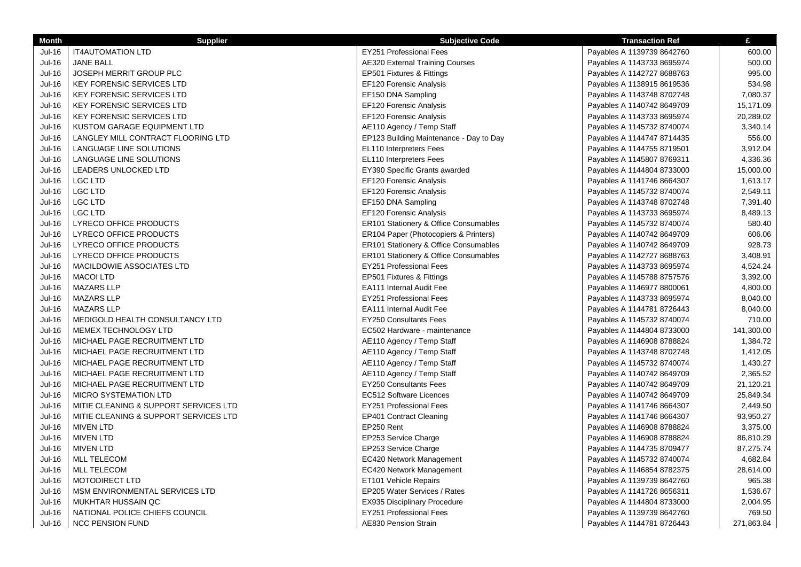| <b>Month</b>  | <b>Supplier</b>                       | <b>Subjective Code</b>                  | <b>Transaction Ref</b>     | £          |
|---------------|---------------------------------------|-----------------------------------------|----------------------------|------------|
| Jul-16        | <b>IT4AUTOMATION LTD</b>              | <b>EY251 Professional Fees</b>          | Payables A 1139739 8642760 | 600.00     |
| <b>Jul-16</b> | <b>JANE BALL</b>                      | <b>AE320 External Training Courses</b>  | Payables A 1143733 8695974 | 500.00     |
| <b>Jul-16</b> | <b>JOSEPH MERRIT GROUP PLC</b>        | EP501 Fixtures & Fittings               | Payables A 1142727 8688763 | 995.00     |
| $Jul-16$      | <b>KEY FORENSIC SERVICES LTD</b>      | EF120 Forensic Analysis                 | Payables A 1138915 8619536 | 534.98     |
| <b>Jul-16</b> | <b>KEY FORENSIC SERVICES LTD</b>      | EF150 DNA Sampling                      | Payables A 1143748 8702748 | 7,080.37   |
| $Jul-16$      | KEY FORENSIC SERVICES LTD             | EF120 Forensic Analysis                 | Payables A 1140742 8649709 | 15,171.09  |
| <b>Jul-16</b> | <b>KEY FORENSIC SERVICES LTD</b>      | EF120 Forensic Analysis                 | Payables A 1143733 8695974 | 20,289.02  |
| <b>Jul-16</b> | KUSTOM GARAGE EQUIPMENT LTD           | AE110 Agency / Temp Staff               | Payables A 1145732 8740074 | 3,340.14   |
| <b>Jul-16</b> | LANGLEY MILL CONTRACT FLOORING LTD    | EP123 Building Maintenance - Day to Day | Payables A 1144747 8714435 | 556.00     |
| <b>Jul-16</b> | LANGUAGE LINE SOLUTIONS               | EL110 Interpreters Fees                 | Payables A 1144755 8719501 | 3,912.04   |
| $Jul-16$      | LANGUAGE LINE SOLUTIONS               | EL110 Interpreters Fees                 | Payables A 1145807 8769311 | 4,336.36   |
| $Jul-16$      | LEADERS UNLOCKED LTD                  | EY390 Specific Grants awarded           | Payables A 1144804 8733000 | 15,000.00  |
| <b>Jul-16</b> | LGC LTD                               | EF120 Forensic Analysis                 | Payables A 1141746 8664307 | 1,613.17   |
| $Jul-16$      | <b>LGC LTD</b>                        | EF120 Forensic Analysis                 | Payables A 1145732 8740074 | 2,549.11   |
| <b>Jul-16</b> | <b>LGC LTD</b>                        | EF150 DNA Sampling                      | Payables A 1143748 8702748 | 7,391.40   |
| <b>Jul-16</b> | <b>LGC LTD</b>                        | EF120 Forensic Analysis                 | Payables A 1143733 8695974 | 8,489.13   |
| <b>Jul-16</b> | LYRECO OFFICE PRODUCTS                | ER101 Stationery & Office Consumables   | Payables A 1145732 8740074 | 580.40     |
| $Jul-16$      | LYRECO OFFICE PRODUCTS                | ER104 Paper (Photocopiers & Printers)   | Payables A 1140742 8649709 | 606.06     |
| <b>Jul-16</b> | LYRECO OFFICE PRODUCTS                | ER101 Stationery & Office Consumables   | Payables A 1140742 8649709 | 928.73     |
| Jul-16        | LYRECO OFFICE PRODUCTS                | ER101 Stationery & Office Consumables   | Payables A 1142727 8688763 | 3,408.91   |
| Jul-16        | MACILDOWIE ASSOCIATES LTD             | <b>EY251 Professional Fees</b>          | Payables A 1143733 8695974 | 4,524.24   |
| <b>Jul-16</b> | <b>MACOI LTD</b>                      | EP501 Fixtures & Fittings               | Payables A 1145788 8757576 | 3,392.00   |
| <b>Jul-16</b> | <b>MAZARS LLP</b>                     | <b>EA111 Internal Audit Fee</b>         | Payables A 1146977 8800061 | 4,800.00   |
| <b>Jul-16</b> | <b>MAZARS LLP</b>                     | <b>EY251 Professional Fees</b>          | Payables A 1143733 8695974 | 8,040.00   |
| <b>Jul-16</b> | <b>MAZARS LLP</b>                     | <b>EA111 Internal Audit Fee</b>         | Payables A 1144781 8726443 | 8,040.00   |
| <b>Jul-16</b> | MEDIGOLD HEALTH CONSULTANCY LTD       | <b>EY250 Consultants Fees</b>           | Payables A 1145732 8740074 | 710.00     |
| <b>Jul-16</b> | MEMEX TECHNOLOGY LTD                  | EC502 Hardware - maintenance            | Payables A 1144804 8733000 | 141,300.00 |
| <b>Jul-16</b> | MICHAEL PAGE RECRUITMENT LTD          | AE110 Agency / Temp Staff               | Payables A 1146908 8788824 | 1,384.72   |
| <b>Jul-16</b> | MICHAEL PAGE RECRUITMENT LTD          | AE110 Agency / Temp Staff               | Payables A 1143748 8702748 | 1,412.05   |
| Jul-16        | MICHAEL PAGE RECRUITMENT LTD          | AE110 Agency / Temp Staff               | Payables A 1145732 8740074 | 1,430.27   |
| <b>Jul-16</b> | MICHAEL PAGE RECRUITMENT LTD          | AE110 Agency / Temp Staff               | Payables A 1140742 8649709 | 2,365.52   |
| <b>Jul-16</b> | MICHAEL PAGE RECRUITMENT LTD          | <b>EY250 Consultants Fees</b>           | Payables A 1140742 8649709 | 21,120.21  |
| Jul-16        | <b>MICRO SYSTEMATION LTD</b>          | <b>EC512 Software Licences</b>          | Payables A 1140742 8649709 | 25,849.34  |
| $Jul-16$      | MITIE CLEANING & SUPPORT SERVICES LTD | EY251 Professional Fees                 | Payables A 1141746 8664307 | 2,449.50   |
| <b>Jul-16</b> | MITIE CLEANING & SUPPORT SERVICES LTD | EP401 Contract Cleaning                 | Payables A 1141746 8664307 | 93,950.27  |
| <b>Jul-16</b> | <b>MIVEN LTD</b>                      | EP250 Rent                              | Payables A 1146908 8788824 | 3,375.00   |
| Jul-16        | <b>MIVEN LTD</b>                      | EP253 Service Charge                    | Payables A 1146908 8788824 | 86,810.29  |
| Jul-16        | <b>MIVEN LTD</b>                      | EP253 Service Charge                    | Payables A 1144735 8709477 | 87,275.74  |
| Jul-16        | <b>MLL TELECOM</b>                    | EC420 Network Management                | Payables A 1145732 8740074 | 4,682.84   |
| Jul-16        | <b>MLL TELECOM</b>                    | EC420 Network Management                | Payables A 1146854 8782375 | 28,614.00  |
| Jul-16        | <b>MOTODIRECT LTD</b>                 | ET101 Vehicle Repairs                   | Payables A 1139739 8642760 | 965.38     |
| Jul-16        | MSM ENVIRONMENTAL SERVICES LTD        | EP205 Water Services / Rates            | Payables A 1141726 8656311 | 1,536.67   |
| <b>Jul-16</b> | MUKHTAR HUSSAIN QC                    | EX935 Disciplinary Procedure            | Payables A 1144804 8733000 | 2,004.95   |
| Jul-16        | NATIONAL POLICE CHIEFS COUNCIL        | <b>EY251 Professional Fees</b>          | Payables A 1139739 8642760 | 769.50     |
| Jul-16        | <b>NCC PENSION FUND</b>               | AE830 Pension Strain                    | Payables A 1144781 8726443 | 271,863.84 |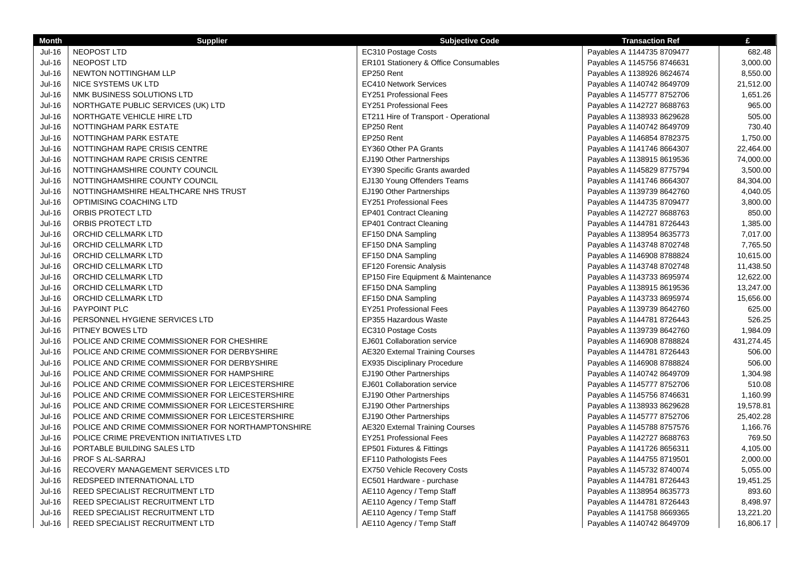| <b>Month</b>  | <b>Supplier</b>                                    | <b>Subjective Code</b>                 | <b>Transaction Ref</b>     | £          |
|---------------|----------------------------------------------------|----------------------------------------|----------------------------|------------|
| <b>Jul-16</b> | NEOPOST LTD                                        | EC310 Postage Costs                    | Payables A 1144735 8709477 | 682.48     |
| $Jul-16$      | <b>NEOPOST LTD</b>                                 | ER101 Stationery & Office Consumables  | Payables A 1145756 8746631 | 3,000.00   |
| Jul-16        | NEWTON NOTTINGHAM LLP                              | EP250 Rent                             | Payables A 1138926 8624674 | 8,550.00   |
| <b>Jul-16</b> | NICE SYSTEMS UK LTD                                | <b>EC410 Network Services</b>          | Payables A 1140742 8649709 | 21,512.00  |
| <b>Jul-16</b> | NMK BUSINESS SOLUTIONS LTD                         | EY251 Professional Fees                | Payables A 1145777 8752706 | 1,651.26   |
| <b>Jul-16</b> | NORTHGATE PUBLIC SERVICES (UK) LTD                 | EY251 Professional Fees                | Payables A 1142727 8688763 | 965.00     |
| <b>Jul-16</b> | NORTHGATE VEHICLE HIRE LTD                         | ET211 Hire of Transport - Operational  | Payables A 1138933 8629628 | 505.00     |
| <b>Jul-16</b> | NOTTINGHAM PARK ESTATE                             | EP250 Rent                             | Payables A 1140742 8649709 | 730.40     |
| <b>Jul-16</b> | NOTTINGHAM PARK ESTATE                             | EP250 Rent                             | Payables A 1146854 8782375 | 1,750.00   |
| Jul-16        | NOTTINGHAM RAPE CRISIS CENTRE                      | EY360 Other PA Grants                  | Payables A 1141746 8664307 | 22,464.00  |
| <b>Jul-16</b> | NOTTINGHAM RAPE CRISIS CENTRE                      | EJ190 Other Partnerships               | Payables A 1138915 8619536 | 74,000.00  |
| <b>Jul-16</b> | NOTTINGHAMSHIRE COUNTY COUNCIL                     | EY390 Specific Grants awarded          | Payables A 1145829 8775794 | 3,500.00   |
| <b>Jul-16</b> | NOTTINGHAMSHIRE COUNTY COUNCIL                     | EJ130 Young Offenders Teams            | Payables A 1141746 8664307 | 84,304.00  |
| <b>Jul-16</b> | NOTTINGHAMSHIRE HEALTHCARE NHS TRUST               | EJ190 Other Partnerships               | Payables A 1139739 8642760 | 4,040.05   |
| <b>Jul-16</b> | OPTIMISING COACHING LTD                            | <b>EY251 Professional Fees</b>         | Payables A 1144735 8709477 | 3,800.00   |
| Jul-16        | ORBIS PROTECT LTD                                  | <b>EP401 Contract Cleaning</b>         | Payables A 1142727 8688763 | 850.00     |
| <b>Jul-16</b> | ORBIS PROTECT LTD                                  | EP401 Contract Cleaning                | Payables A 1144781 8726443 | 1,385.00   |
| Jul-16        | ORCHID CELLMARK LTD                                | EF150 DNA Sampling                     | Payables A 1138954 8635773 | 7,017.00   |
| Jul-16        | ORCHID CELLMARK LTD                                | EF150 DNA Sampling                     | Payables A 1143748 8702748 | 7,765.50   |
| $Jul-16$      | ORCHID CELLMARK LTD                                | EF150 DNA Sampling                     | Payables A 1146908 8788824 | 10,615.00  |
| Jul-16        | ORCHID CELLMARK LTD                                | EF120 Forensic Analysis                | Payables A 1143748 8702748 | 11,438.50  |
| <b>Jul-16</b> | ORCHID CELLMARK LTD                                | EP150 Fire Equipment & Maintenance     | Payables A 1143733 8695974 | 12,622.00  |
| Jul-16        | ORCHID CELLMARK LTD                                | EF150 DNA Sampling                     | Payables A 1138915 8619536 | 13,247.00  |
| Jul-16        | ORCHID CELLMARK LTD                                | EF150 DNA Sampling                     | Payables A 1143733 8695974 | 15,656.00  |
| Jul-16        | PAYPOINT PLC                                       | <b>EY251 Professional Fees</b>         | Payables A 1139739 8642760 | 625.00     |
| <b>Jul-16</b> | PERSONNEL HYGIENE SERVICES LTD                     | EP355 Hazardous Waste                  | Payables A 1144781 8726443 | 526.25     |
| <b>Jul-16</b> | PITNEY BOWES LTD                                   | EC310 Postage Costs                    | Payables A 1139739 8642760 | 1,984.09   |
| <b>Jul-16</b> | POLICE AND CRIME COMMISSIONER FOR CHESHIRE         | EJ601 Collaboration service            | Payables A 1146908 8788824 | 431,274.45 |
| Jul-16        | POLICE AND CRIME COMMISSIONER FOR DERBYSHIRE       | <b>AE320 External Training Courses</b> | Payables A 1144781 8726443 | 506.00     |
| Jul-16        | POLICE AND CRIME COMMISSIONER FOR DERBYSHIRE       | EX935 Disciplinary Procedure           | Payables A 1146908 8788824 | 506.00     |
| <b>Jul-16</b> | POLICE AND CRIME COMMISSIONER FOR HAMPSHIRE        | EJ190 Other Partnerships               | Payables A 1140742 8649709 | 1,304.98   |
| $Jul-16$      | POLICE AND CRIME COMMISSIONER FOR LEICESTERSHIRE   | EJ601 Collaboration service            | Payables A 1145777 8752706 | 510.08     |
| <b>Jul-16</b> | POLICE AND CRIME COMMISSIONER FOR LEICESTERSHIRE   | EJ190 Other Partnerships               | Payables A 1145756 8746631 | 1,160.99   |
| Jul-16        | POLICE AND CRIME COMMISSIONER FOR LEICESTERSHIRE   | EJ190 Other Partnerships               | Payables A 1138933 8629628 | 19,578.81  |
| Jul-16        | POLICE AND CRIME COMMISSIONER FOR LEICESTERSHIRE   | EJ190 Other Partnerships               | Payables A 1145777 8752706 | 25,402.28  |
| Jul-16        | POLICE AND CRIME COMMISSIONER FOR NORTHAMPTONSHIRE | <b>AE320 External Training Courses</b> | Payables A 1145788 8757576 | 1,166.76   |
| $Jul-16$      | POLICE CRIME PREVENTION INITIATIVES LTD            | EY251 Professional Fees                | Payables A 1142727 8688763 | 769.50     |
| $Jul-16$      | PORTABLE BUILDING SALES LTD                        | EP501 Fixtures & Fittings              | Payables A 1141726 8656311 | 4,105.00   |
| <b>Jul-16</b> | PROF S AL-SARRAJ                                   | EF110 Pathologists Fees                | Payables A 1144755 8719501 | 2,000.00   |
| Jul-16        | RECOVERY MANAGEMENT SERVICES LTD                   | EX750 Vehicle Recovery Costs           | Payables A 1145732 8740074 | 5,055.00   |
| Jul-16        | REDSPEED INTERNATIONAL LTD                         | EC501 Hardware - purchase              | Payables A 1144781 8726443 | 19,451.25  |
| Jul-16        | REED SPECIALIST RECRUITMENT LTD                    | AE110 Agency / Temp Staff              | Payables A 1138954 8635773 | 893.60     |
| Jul-16        | REED SPECIALIST RECRUITMENT LTD                    | AE110 Agency / Temp Staff              | Payables A 1144781 8726443 | 8,498.97   |
| <b>Jul-16</b> | REED SPECIALIST RECRUITMENT LTD                    | AE110 Agency / Temp Staff              | Payables A 1141758 8669365 | 13,221.20  |
| Jul-16        | REED SPECIALIST RECRUITMENT LTD                    | AE110 Agency / Temp Staff              | Payables A 1140742 8649709 | 16,806.17  |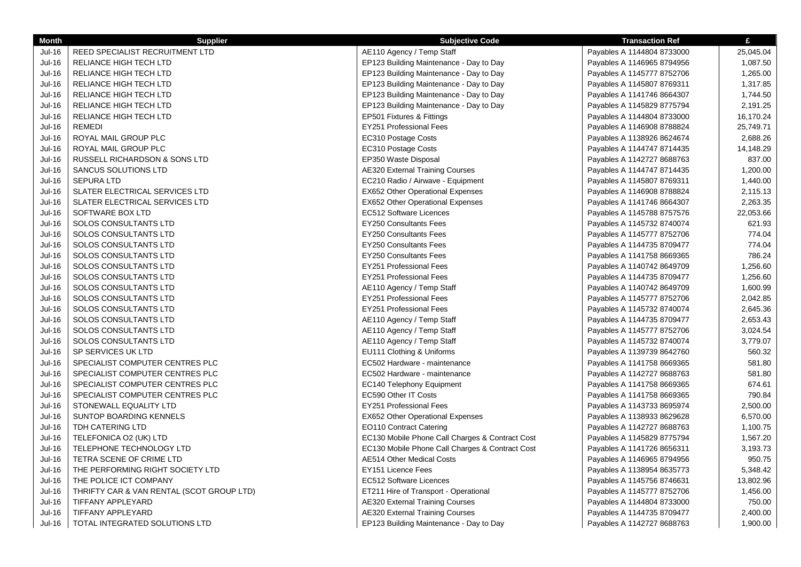| <b>Month</b>                                                                                                                                                                                                 | <b>Supplier</b>                                                                                                                                                                                                                                                                                                                                                                                                                                                                                          | <b>Subjective Code</b>                                                                                                                                                                                                                                                                                                                                                                                                                                                                                                                                                                | <b>Transaction Ref</b>                                                                                                                                                                                                                                                                                                                                                                                                                                                                       | £                                                                                                                                                                                 |
|--------------------------------------------------------------------------------------------------------------------------------------------------------------------------------------------------------------|----------------------------------------------------------------------------------------------------------------------------------------------------------------------------------------------------------------------------------------------------------------------------------------------------------------------------------------------------------------------------------------------------------------------------------------------------------------------------------------------------------|---------------------------------------------------------------------------------------------------------------------------------------------------------------------------------------------------------------------------------------------------------------------------------------------------------------------------------------------------------------------------------------------------------------------------------------------------------------------------------------------------------------------------------------------------------------------------------------|----------------------------------------------------------------------------------------------------------------------------------------------------------------------------------------------------------------------------------------------------------------------------------------------------------------------------------------------------------------------------------------------------------------------------------------------------------------------------------------------|-----------------------------------------------------------------------------------------------------------------------------------------------------------------------------------|
| <b>Jul-16</b>                                                                                                                                                                                                | REED SPECIALIST RECRUITMENT LTD                                                                                                                                                                                                                                                                                                                                                                                                                                                                          | AE110 Agency / Temp Staff                                                                                                                                                                                                                                                                                                                                                                                                                                                                                                                                                             | Payables A 1144804 8733000                                                                                                                                                                                                                                                                                                                                                                                                                                                                   | 25,045.04                                                                                                                                                                         |
| <b>Jul-16</b>                                                                                                                                                                                                | RELIANCE HIGH TECH LTD                                                                                                                                                                                                                                                                                                                                                                                                                                                                                   | EP123 Building Maintenance - Day to Day                                                                                                                                                                                                                                                                                                                                                                                                                                                                                                                                               | Payables A 1146965 8794956                                                                                                                                                                                                                                                                                                                                                                                                                                                                   | 1,087.50                                                                                                                                                                          |
| Jul-16                                                                                                                                                                                                       | RELIANCE HIGH TECH LTD                                                                                                                                                                                                                                                                                                                                                                                                                                                                                   | EP123 Building Maintenance - Day to Day                                                                                                                                                                                                                                                                                                                                                                                                                                                                                                                                               | Payables A 1145777 8752706                                                                                                                                                                                                                                                                                                                                                                                                                                                                   | 1,265.00                                                                                                                                                                          |
| Jul-16                                                                                                                                                                                                       | RELIANCE HIGH TECH LTD                                                                                                                                                                                                                                                                                                                                                                                                                                                                                   | EP123 Building Maintenance - Day to Day                                                                                                                                                                                                                                                                                                                                                                                                                                                                                                                                               | Payables A 1145807 8769311                                                                                                                                                                                                                                                                                                                                                                                                                                                                   | 1,317.85                                                                                                                                                                          |
| $Jul-16$                                                                                                                                                                                                     | RELIANCE HIGH TECH LTD                                                                                                                                                                                                                                                                                                                                                                                                                                                                                   | EP123 Building Maintenance - Day to Day                                                                                                                                                                                                                                                                                                                                                                                                                                                                                                                                               | Payables A 1141746 8664307                                                                                                                                                                                                                                                                                                                                                                                                                                                                   | 1,744.50                                                                                                                                                                          |
| $Jul-16$                                                                                                                                                                                                     | RELIANCE HIGH TECH LTD                                                                                                                                                                                                                                                                                                                                                                                                                                                                                   | EP123 Building Maintenance - Day to Day                                                                                                                                                                                                                                                                                                                                                                                                                                                                                                                                               | Payables A 1145829 8775794                                                                                                                                                                                                                                                                                                                                                                                                                                                                   | 2,191.25                                                                                                                                                                          |
| <b>Jul-16</b>                                                                                                                                                                                                | RELIANCE HIGH TECH LTD                                                                                                                                                                                                                                                                                                                                                                                                                                                                                   | EP501 Fixtures & Fittings                                                                                                                                                                                                                                                                                                                                                                                                                                                                                                                                                             | Payables A 1144804 8733000                                                                                                                                                                                                                                                                                                                                                                                                                                                                   | 16,170.24                                                                                                                                                                         |
| <b>Jul-16</b>                                                                                                                                                                                                | <b>REMEDI</b>                                                                                                                                                                                                                                                                                                                                                                                                                                                                                            | <b>EY251 Professional Fees</b>                                                                                                                                                                                                                                                                                                                                                                                                                                                                                                                                                        | Payables A 1146908 8788824                                                                                                                                                                                                                                                                                                                                                                                                                                                                   | 25,749.71                                                                                                                                                                         |
| <b>Jul-16</b>                                                                                                                                                                                                | ROYAL MAIL GROUP PLC                                                                                                                                                                                                                                                                                                                                                                                                                                                                                     | EC310 Postage Costs                                                                                                                                                                                                                                                                                                                                                                                                                                                                                                                                                                   | Payables A 1138926 8624674                                                                                                                                                                                                                                                                                                                                                                                                                                                                   | 2,688.26                                                                                                                                                                          |
| Jul-16                                                                                                                                                                                                       | ROYAL MAIL GROUP PLC                                                                                                                                                                                                                                                                                                                                                                                                                                                                                     | EC310 Postage Costs                                                                                                                                                                                                                                                                                                                                                                                                                                                                                                                                                                   | Payables A 1144747 8714435                                                                                                                                                                                                                                                                                                                                                                                                                                                                   | 14,148.29                                                                                                                                                                         |
| $Jul-16$                                                                                                                                                                                                     | RUSSELL RICHARDSON & SONS LTD                                                                                                                                                                                                                                                                                                                                                                                                                                                                            | EP350 Waste Disposal                                                                                                                                                                                                                                                                                                                                                                                                                                                                                                                                                                  | Payables A 1142727 8688763                                                                                                                                                                                                                                                                                                                                                                                                                                                                   | 837.00                                                                                                                                                                            |
| $Jul-16$                                                                                                                                                                                                     | SANCUS SOLUTIONS LTD                                                                                                                                                                                                                                                                                                                                                                                                                                                                                     | <b>AE320 External Training Courses</b>                                                                                                                                                                                                                                                                                                                                                                                                                                                                                                                                                | Payables A 1144747 8714435                                                                                                                                                                                                                                                                                                                                                                                                                                                                   | 1,200.00                                                                                                                                                                          |
| Jul-16                                                                                                                                                                                                       | <b>SEPURA LTD</b>                                                                                                                                                                                                                                                                                                                                                                                                                                                                                        | EC210 Radio / Airwave - Equipment                                                                                                                                                                                                                                                                                                                                                                                                                                                                                                                                                     | Payables A 1145807 8769311                                                                                                                                                                                                                                                                                                                                                                                                                                                                   | 1,440.00                                                                                                                                                                          |
| Jul-16                                                                                                                                                                                                       | SLATER ELECTRICAL SERVICES LTD                                                                                                                                                                                                                                                                                                                                                                                                                                                                           | <b>EX652 Other Operational Expenses</b>                                                                                                                                                                                                                                                                                                                                                                                                                                                                                                                                               | Payables A 1146908 8788824                                                                                                                                                                                                                                                                                                                                                                                                                                                                   | 2,115.13                                                                                                                                                                          |
| <b>Jul-16</b>                                                                                                                                                                                                | SLATER ELECTRICAL SERVICES LTD                                                                                                                                                                                                                                                                                                                                                                                                                                                                           | <b>EX652 Other Operational Expenses</b>                                                                                                                                                                                                                                                                                                                                                                                                                                                                                                                                               | Payables A 1141746 8664307                                                                                                                                                                                                                                                                                                                                                                                                                                                                   | 2,263.35                                                                                                                                                                          |
| <b>Jul-16</b>                                                                                                                                                                                                | SOFTWARE BOX LTD                                                                                                                                                                                                                                                                                                                                                                                                                                                                                         | EC512 Software Licences                                                                                                                                                                                                                                                                                                                                                                                                                                                                                                                                                               | Payables A 1145788 8757576                                                                                                                                                                                                                                                                                                                                                                                                                                                                   | 22,053.66                                                                                                                                                                         |
| $Jul-16$                                                                                                                                                                                                     | SOLOS CONSULTANTS LTD                                                                                                                                                                                                                                                                                                                                                                                                                                                                                    | <b>EY250 Consultants Fees</b>                                                                                                                                                                                                                                                                                                                                                                                                                                                                                                                                                         | Payables A 1145732 8740074                                                                                                                                                                                                                                                                                                                                                                                                                                                                   | 621.93                                                                                                                                                                            |
| Jul-16                                                                                                                                                                                                       | SOLOS CONSULTANTS LTD                                                                                                                                                                                                                                                                                                                                                                                                                                                                                    | <b>EY250 Consultants Fees</b>                                                                                                                                                                                                                                                                                                                                                                                                                                                                                                                                                         | Payables A 1145777 8752706                                                                                                                                                                                                                                                                                                                                                                                                                                                                   | 774.04                                                                                                                                                                            |
| Jul-16                                                                                                                                                                                                       | SOLOS CONSULTANTS LTD                                                                                                                                                                                                                                                                                                                                                                                                                                                                                    | <b>EY250 Consultants Fees</b>                                                                                                                                                                                                                                                                                                                                                                                                                                                                                                                                                         | Payables A 1144735 8709477                                                                                                                                                                                                                                                                                                                                                                                                                                                                   | 774.04                                                                                                                                                                            |
| Jul-16                                                                                                                                                                                                       | SOLOS CONSULTANTS LTD                                                                                                                                                                                                                                                                                                                                                                                                                                                                                    | <b>EY250 Consultants Fees</b>                                                                                                                                                                                                                                                                                                                                                                                                                                                                                                                                                         | Payables A 1141758 8669365                                                                                                                                                                                                                                                                                                                                                                                                                                                                   | 786.24                                                                                                                                                                            |
| Jul-16                                                                                                                                                                                                       | SOLOS CONSULTANTS LTD                                                                                                                                                                                                                                                                                                                                                                                                                                                                                    | <b>EY251 Professional Fees</b>                                                                                                                                                                                                                                                                                                                                                                                                                                                                                                                                                        | Payables A 1140742 8649709                                                                                                                                                                                                                                                                                                                                                                                                                                                                   | 1,256.60                                                                                                                                                                          |
| <b>Jul-16</b>                                                                                                                                                                                                | SOLOS CONSULTANTS LTD                                                                                                                                                                                                                                                                                                                                                                                                                                                                                    | <b>EY251 Professional Fees</b>                                                                                                                                                                                                                                                                                                                                                                                                                                                                                                                                                        | Payables A 1144735 8709477                                                                                                                                                                                                                                                                                                                                                                                                                                                                   | 1,256.60                                                                                                                                                                          |
| <b>Jul-16</b>                                                                                                                                                                                                | SOLOS CONSULTANTS LTD                                                                                                                                                                                                                                                                                                                                                                                                                                                                                    | AE110 Agency / Temp Staff                                                                                                                                                                                                                                                                                                                                                                                                                                                                                                                                                             | Payables A 1140742 8649709                                                                                                                                                                                                                                                                                                                                                                                                                                                                   | 1,600.99                                                                                                                                                                          |
| Jul-16                                                                                                                                                                                                       | SOLOS CONSULTANTS LTD                                                                                                                                                                                                                                                                                                                                                                                                                                                                                    | EY251 Professional Fees                                                                                                                                                                                                                                                                                                                                                                                                                                                                                                                                                               | Payables A 1145777 8752706                                                                                                                                                                                                                                                                                                                                                                                                                                                                   | 2,042.85                                                                                                                                                                          |
| $Jul-16$                                                                                                                                                                                                     | SOLOS CONSULTANTS LTD                                                                                                                                                                                                                                                                                                                                                                                                                                                                                    | <b>EY251 Professional Fees</b>                                                                                                                                                                                                                                                                                                                                                                                                                                                                                                                                                        | Payables A 1145732 8740074                                                                                                                                                                                                                                                                                                                                                                                                                                                                   | 2,645.36                                                                                                                                                                          |
| Jul-16                                                                                                                                                                                                       | SOLOS CONSULTANTS LTD                                                                                                                                                                                                                                                                                                                                                                                                                                                                                    | AE110 Agency / Temp Staff                                                                                                                                                                                                                                                                                                                                                                                                                                                                                                                                                             | Payables A 1144735 8709477                                                                                                                                                                                                                                                                                                                                                                                                                                                                   | 2,653.43                                                                                                                                                                          |
| Jul-16                                                                                                                                                                                                       | SOLOS CONSULTANTS LTD                                                                                                                                                                                                                                                                                                                                                                                                                                                                                    | AE110 Agency / Temp Staff                                                                                                                                                                                                                                                                                                                                                                                                                                                                                                                                                             | Payables A 1145777 8752706                                                                                                                                                                                                                                                                                                                                                                                                                                                                   | 3,024.54                                                                                                                                                                          |
| $Jul-16$                                                                                                                                                                                                     | SOLOS CONSULTANTS LTD                                                                                                                                                                                                                                                                                                                                                                                                                                                                                    | AE110 Agency / Temp Staff                                                                                                                                                                                                                                                                                                                                                                                                                                                                                                                                                             | Payables A 1145732 8740074                                                                                                                                                                                                                                                                                                                                                                                                                                                                   | 3,779.07                                                                                                                                                                          |
| $Jul-16$                                                                                                                                                                                                     | SP SERVICES UK LTD                                                                                                                                                                                                                                                                                                                                                                                                                                                                                       | EU111 Clothing & Uniforms                                                                                                                                                                                                                                                                                                                                                                                                                                                                                                                                                             | Payables A 1139739 8642760                                                                                                                                                                                                                                                                                                                                                                                                                                                                   | 560.32                                                                                                                                                                            |
|                                                                                                                                                                                                              |                                                                                                                                                                                                                                                                                                                                                                                                                                                                                                          |                                                                                                                                                                                                                                                                                                                                                                                                                                                                                                                                                                                       |                                                                                                                                                                                                                                                                                                                                                                                                                                                                                              |                                                                                                                                                                                   |
|                                                                                                                                                                                                              |                                                                                                                                                                                                                                                                                                                                                                                                                                                                                                          |                                                                                                                                                                                                                                                                                                                                                                                                                                                                                                                                                                                       |                                                                                                                                                                                                                                                                                                                                                                                                                                                                                              |                                                                                                                                                                                   |
|                                                                                                                                                                                                              |                                                                                                                                                                                                                                                                                                                                                                                                                                                                                                          |                                                                                                                                                                                                                                                                                                                                                                                                                                                                                                                                                                                       |                                                                                                                                                                                                                                                                                                                                                                                                                                                                                              |                                                                                                                                                                                   |
|                                                                                                                                                                                                              |                                                                                                                                                                                                                                                                                                                                                                                                                                                                                                          |                                                                                                                                                                                                                                                                                                                                                                                                                                                                                                                                                                                       |                                                                                                                                                                                                                                                                                                                                                                                                                                                                                              |                                                                                                                                                                                   |
|                                                                                                                                                                                                              |                                                                                                                                                                                                                                                                                                                                                                                                                                                                                                          |                                                                                                                                                                                                                                                                                                                                                                                                                                                                                                                                                                                       |                                                                                                                                                                                                                                                                                                                                                                                                                                                                                              |                                                                                                                                                                                   |
|                                                                                                                                                                                                              |                                                                                                                                                                                                                                                                                                                                                                                                                                                                                                          |                                                                                                                                                                                                                                                                                                                                                                                                                                                                                                                                                                                       |                                                                                                                                                                                                                                                                                                                                                                                                                                                                                              |                                                                                                                                                                                   |
|                                                                                                                                                                                                              |                                                                                                                                                                                                                                                                                                                                                                                                                                                                                                          |                                                                                                                                                                                                                                                                                                                                                                                                                                                                                                                                                                                       |                                                                                                                                                                                                                                                                                                                                                                                                                                                                                              |                                                                                                                                                                                   |
|                                                                                                                                                                                                              |                                                                                                                                                                                                                                                                                                                                                                                                                                                                                                          |                                                                                                                                                                                                                                                                                                                                                                                                                                                                                                                                                                                       |                                                                                                                                                                                                                                                                                                                                                                                                                                                                                              |                                                                                                                                                                                   |
|                                                                                                                                                                                                              |                                                                                                                                                                                                                                                                                                                                                                                                                                                                                                          |                                                                                                                                                                                                                                                                                                                                                                                                                                                                                                                                                                                       |                                                                                                                                                                                                                                                                                                                                                                                                                                                                                              |                                                                                                                                                                                   |
|                                                                                                                                                                                                              |                                                                                                                                                                                                                                                                                                                                                                                                                                                                                                          |                                                                                                                                                                                                                                                                                                                                                                                                                                                                                                                                                                                       |                                                                                                                                                                                                                                                                                                                                                                                                                                                                                              |                                                                                                                                                                                   |
|                                                                                                                                                                                                              |                                                                                                                                                                                                                                                                                                                                                                                                                                                                                                          |                                                                                                                                                                                                                                                                                                                                                                                                                                                                                                                                                                                       |                                                                                                                                                                                                                                                                                                                                                                                                                                                                                              |                                                                                                                                                                                   |
|                                                                                                                                                                                                              |                                                                                                                                                                                                                                                                                                                                                                                                                                                                                                          |                                                                                                                                                                                                                                                                                                                                                                                                                                                                                                                                                                                       |                                                                                                                                                                                                                                                                                                                                                                                                                                                                                              |                                                                                                                                                                                   |
|                                                                                                                                                                                                              |                                                                                                                                                                                                                                                                                                                                                                                                                                                                                                          |                                                                                                                                                                                                                                                                                                                                                                                                                                                                                                                                                                                       |                                                                                                                                                                                                                                                                                                                                                                                                                                                                                              |                                                                                                                                                                                   |
|                                                                                                                                                                                                              |                                                                                                                                                                                                                                                                                                                                                                                                                                                                                                          |                                                                                                                                                                                                                                                                                                                                                                                                                                                                                                                                                                                       |                                                                                                                                                                                                                                                                                                                                                                                                                                                                                              |                                                                                                                                                                                   |
|                                                                                                                                                                                                              |                                                                                                                                                                                                                                                                                                                                                                                                                                                                                                          |                                                                                                                                                                                                                                                                                                                                                                                                                                                                                                                                                                                       |                                                                                                                                                                                                                                                                                                                                                                                                                                                                                              |                                                                                                                                                                                   |
|                                                                                                                                                                                                              |                                                                                                                                                                                                                                                                                                                                                                                                                                                                                                          |                                                                                                                                                                                                                                                                                                                                                                                                                                                                                                                                                                                       |                                                                                                                                                                                                                                                                                                                                                                                                                                                                                              |                                                                                                                                                                                   |
| <b>Jul-16</b><br><b>Jul-16</b><br>Jul-16<br>Jul-16<br>Jul-16<br>Jul-16<br><b>Jul-16</b><br><b>Jul-16</b><br>$Jul-16$<br>Jul-16<br>$Jul-16$<br>Jul-16<br>$Jul-16$<br>Jul-16<br><b>Jul-16</b><br><b>Jul-16</b> | SPECIALIST COMPUTER CENTRES PLC<br>SPECIALIST COMPUTER CENTRES PLC<br>SPECIALIST COMPUTER CENTRES PLC<br>SPECIALIST COMPUTER CENTRES PLC<br>STONEWALL EQUALITY LTD<br>SUNTOP BOARDING KENNELS<br>TDH CATERING LTD<br>TELEFONICA O2 (UK) LTD<br>TELEPHONE TECHNOLOGY LTD<br>TETRA SCENE OF CRIME LTD<br>THE PERFORMING RIGHT SOCIETY LTD<br>THE POLICE ICT COMPANY<br>THRIFTY CAR & VAN RENTAL (SCOT GROUP LTD)<br><b>TIFFANY APPLEYARD</b><br><b>TIFFANY APPLEYARD</b><br>TOTAL INTEGRATED SOLUTIONS LTD | EC502 Hardware - maintenance<br>EC502 Hardware - maintenance<br>EC140 Telephony Equipment<br>EC590 Other IT Costs<br>EY251 Professional Fees<br><b>EX652 Other Operational Expenses</b><br>EO110 Contract Catering<br>EC130 Mobile Phone Call Charges & Contract Cost<br>EC130 Mobile Phone Call Charges & Contract Cost<br><b>AE514 Other Medical Costs</b><br>EY151 Licence Fees<br>EC512 Software Licences<br>ET211 Hire of Transport - Operational<br><b>AE320 External Training Courses</b><br><b>AE320 External Training Courses</b><br>EP123 Building Maintenance - Day to Day | Payables A 1141758 8669365<br>Payables A 1142727 8688763<br>Payables A 1141758 8669365<br>Payables A 1141758 8669365<br>Payables A 1143733 8695974<br>Payables A 1138933 8629628<br>Payables A 1142727 8688763<br>Payables A 1145829 8775794<br>Payables A 1141726 8656311<br>Payables A 1146965 8794956<br>Payables A 1138954 8635773<br>Payables A 1145756 8746631<br>Payables A 1145777 8752706<br>Payables A 1144804 8733000<br>Payables A 1144735 8709477<br>Payables A 1142727 8688763 | 581.80<br>581.80<br>674.61<br>790.84<br>2,500.00<br>6,570.00<br>1,100.75<br>1,567.20<br>3,193.73<br>950.75<br>5,348.42<br>13,802.96<br>1,456.00<br>750.00<br>2,400.00<br>1,900.00 |